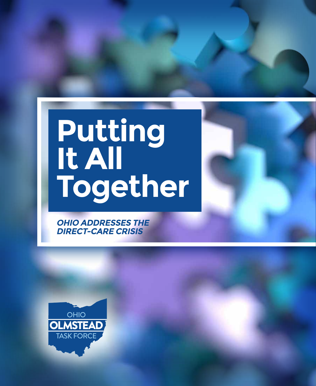# **Putting It All Together**





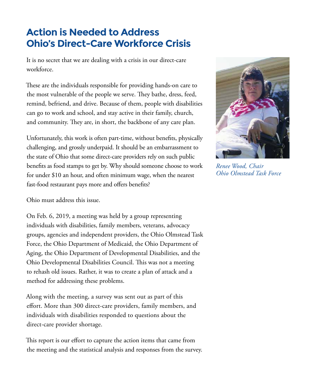## **Action is Needed to Address Ohio's Direct-Care Workforce Crisis**

It is no secret that we are dealing with a crisis in our direct-care workforce.

These are the individuals responsible for providing hands-on care to the most vulnerable of the people we serve. They bathe, dress, feed, remind, befriend, and drive. Because of them, people with disabilities can go to work and school, and stay active in their family, church, and community. They are, in short, the backbone of any care plan.

Unfortunately, this work is often part-time, without benefits, physically challenging, and grossly underpaid. It should be an embarrassment to the state of Ohio that some direct-care providers rely on such public benefits as food stamps to get by. Why should someone choose to work for under \$10 an hour, and often minimum wage, when the nearest fast-food restaurant pays more and offers benefits?



*Renee Wood, Chair Ohio Olmstead Task Force*

Ohio must address this issue.

On Feb. 6, 2019, a meeting was held by a group representing individuals with disabilities, family members, veterans, advocacy groups, agencies and independent providers, the Ohio Olmstead Task Force, the Ohio Department of Medicaid, the Ohio Department of Aging, the Ohio Department of Developmental Disabilities, and the Ohio Developmental Disabilities Council. This was not a meeting to rehash old issues. Rather, it was to create a plan of attack and a method for addressing these problems.

Along with the meeting, a survey was sent out as part of this effort. More than 300 direct-care providers, family members, and individuals with disabilities responded to questions about the direct-care provider shortage.

This report is our effort to capture the action items that came from the meeting and the statistical analysis and responses from the survey.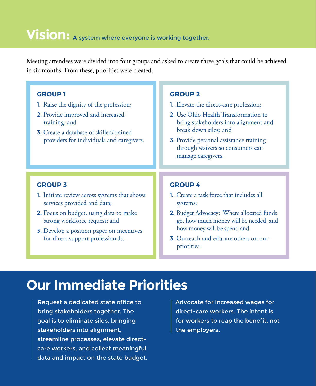# $V$ iSiON: A system where everyone is working together.

Meeting attendees were divided into four groups and asked to create three goals that could be achieved in six months. From these, priorities were created.

| <b>GROUP1</b><br>1. Raise the dignity of the profession;<br><b>2.</b> Provide improved and increased<br>training; and<br><b>3.</b> Create a database of skilled/trained<br>providers for individuals and caregivers.                                                     | <b>GROUP 2</b><br>1. Elevate the direct-care profession;<br>2. Use Ohio Health Transformation to<br>bring stakeholders into alignment and<br>break down silos; and<br><b>3.</b> Provide personal assistance training<br>through waivers so consumers can<br>manage caregivers. |
|--------------------------------------------------------------------------------------------------------------------------------------------------------------------------------------------------------------------------------------------------------------------------|--------------------------------------------------------------------------------------------------------------------------------------------------------------------------------------------------------------------------------------------------------------------------------|
| <b>GROUP 3</b><br><b>1.</b> Initiate review across systems that shows<br>services provided and data;<br>2. Focus on budget, using data to make<br>strong workforce request; and<br><b>3.</b> Develop a position paper on incentives<br>for direct-support professionals. | <b>GROUP 4</b><br>1. Create a task force that includes all<br>systems;<br>2. Budget Advocacy: Where allocated funds<br>go, how much money will be needed, and<br>how money will be spent; and<br><b>3.</b> Outreach and educate others on our<br>priorities.                   |

## **Our Immediate Priorities**

Request a dedicated state office to bring stakeholders together. The goal is to eliminate silos, bringing stakeholders into alignment, streamline processes, elevate directcare workers, and collect meaningful data and impact on the state budget. Advocate for increased wages for direct-care workers. The intent is for workers to reap the benefit, not the employers.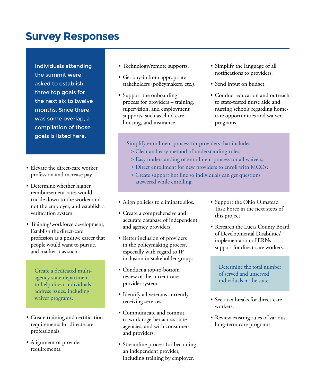## **Survey Responses**

Individuals attending the summit were asked to establish three top goals for the next six to twelve months. Since there was some overlap, a compilation of those goals is listed here.

- Elevate the direct-care worker profession and increase pay.
- Determine whether higher reimbursement rates would trickle down to the worker and not the employer, and establish a verification system.
- Training/workforce development; Establish the direct-care profession as a positive career that people would want to pursue, and market it as such.

Create a dedicated multiagency state department to help direct individuals address issues, including waiver programs.

- Create training and certification requirements for direct-care professionals.
- Alignment of provider requirements.
- Technology/remote supports.
- Get buy-in from appropriate stakeholders (policymakers, etc.).
- Support the onboarding process for providers – training, supervision, and employment supports, such as child care, housing, and insurance.
- Simplify the language of all notifications to providers.
- Send input on budget.
- Conduct education and outreach to state-tested nurse aide and nursing schools regarding homecare opportunities and waiver programs.

Simplify enrollment process for providers that includes:

- > Clear and easy method of understanding rules;
- > Easy understanding of enrollment process for all waivers;
- > Direct enrollment for new providers to enroll with MCOs;
- > Create support hot line so individuals can get questions answered while enrolling.
- Align policies to eliminate silos.
- Create a comprehensive and accurate database of independent and agency providers.
- Better inclusion of providers in the policymaking process, especially with regard to IP inclusion in stakeholder groups.
- Conduct a top-to-bottom review of the current careprovider system.
- Identify all veterans currently receiving services.
- Communicate and commit to work together across state agencies, and with consumers and providers.
- Streamline process for becoming an independent provider, including training by employer.
- Support the Ohio Olmstead Task Force in the next steps of this project.
- Research the Lucas County Board of Developmental Disabilities' implementation of ERNs – support for direct-care workers.

Determine the total number of served and unserved individuals in the state.

- Seek tax breaks for direct-care workers.
- Review existing rules of various long-term care programs.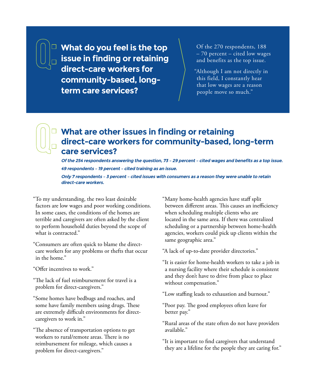**What do you feel is the top issue in finding or retaining direct-care workers for community-based, longterm care services?**

Of the 270 respondents, 188 – 70 percent – cited low wages and benefits as the top issue.

"Although I am not directly in this field, I constantly hear that low wages are a reason people move so much."

### **What are other issues in finding or retaining direct-care workers for community-based, long-term care services?**

**Of the 254 respondents answering the question, 73 – 29 percent – cited wages and benefits as a top issue. 49 respondents – 19 percent – cited training as an issue.**

**Only 7 respondents – 3 percent – cited issues with consumers as a reason they were unable to retain direct-care workers.**

"To my understanding, the two least desirable factors are low wages and poor working conditions. In some cases, the conditions of the homes are terrible and caregivers are often asked by the client to perform household duties beyond the scope of what is contracted."

"Consumers are often quick to blame the directcare workers for any problems or thefts that occur in the home."

"Offer incentives to work."

"The lack of fuel reimbursement for travel is a problem for direct-caregivers."

"Some homes have bedbugs and roaches, and some have family members using drugs. These are extremely difficult environments for directcaregivers to work in."

"The absence of transportation options to get workers to rural/remote areas. There is no reimbursement for mileage, which causes a problem for direct-caregivers."

"Many home-health agencies have staff split between different areas. This causes an inefficiency when scheduling multiple clients who are located in the same area. If there was centralized scheduling or a partnership between home-health agencies, workers could pick up clients within the same geographic area."

"A lack of up-to-date provider directories."

"It is easier for home-health workers to take a job in a nursing facility where their schedule is consistent and they don't have to drive from place to place without compensation."

"Low staffing leads to exhaustion and burnout."

- "Poor pay. The good employees often leave for better pay."
- "Rural areas of the state often do not have providers available."

"It is important to find caregivers that understand they are a lifeline for the people they are caring for."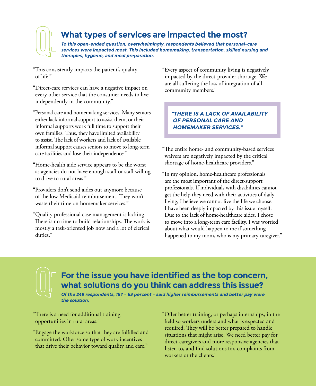## **What types of services are impacted the most?**

**To this open-ended question, overwhelmingly, respondents believed that personal-care services were impacted most. This included homemaking, transportation, skilled nursing and therapies, hygiene, and meal preparation.**

"This consistently impacts the patient's quality of life."

"Direct-care services can have a negative impact on every other service that the consumer needs to live independently in the community."

"Personal care and homemaking services. Many seniors either lack informal support to assist them, or their informal supports work full time to support their own families. Thus, they have limited availability to assist. The lack of workers and lack of available informal support causes seniors to move to long-term care facilities and lose their independence."

"Home-health aide service appears to be the worst as agencies do not have enough staff or staff willing to drive to rural areas."

"Providers don't send aides out anymore because of the low Medicaid reimbursement. They won't waste their time on homemaker services."

"Quality professional case management is lacking. There is no time to build relationships. The work is mostly a task-oriented job now and a lot of clerical duties."

"Every aspect of community living is negatively impacted by the direct-provider shortage. We are all suffering the loss of integration of all community members."

#### **"THERE IS A LACK OF AVAILABILITY OF PERSONAL CARE AND HOMEMAKER SERVICES."**

"The entire home- and community-based services waivers are negatively impacted by the critical shortage of home-healthcare providers."

"In my opinion, home-healthcare professionals are the most important of the direct-support professionals. If individuals with disabilities cannot get the help they need with their activities of daily living, I believe we cannot live the life we choose. I have been deeply impacted by this issue myself. Due to the lack of home-healthcare aides, I chose to move into a long-term care facility. I was worried about what would happen to me if something happened to my mom, who is my primary caregiver."

## **For the issue you have identified as the top concern, what solutions do you think can address this issue?**

**Of the 249 respondents, 157 – 63 percent – said higher reimbursements and better pay were the solution.**

"There is a need for additional training opportunities in rural areas."

"Engage the workforce so that they are fulfilled and committed. Offer some type of work incentives that drive their behavior toward quality and care."

"Offer better training, or perhaps internships, in the field so workers understand what is expected and required. They will be better prepared to handle situations that might arise. We need better pay for direct-caregivers and more responsive agencies that listen to, and find solutions for, complaints from workers or the clients."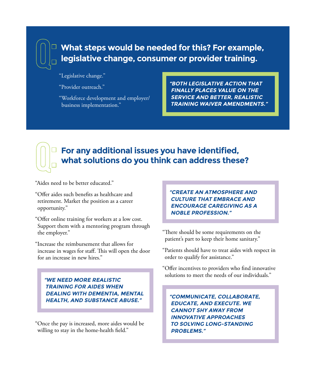## **What steps would be needed for this? For example, legislative change, consumer or provider training.**

"Legislative change."

"Provider outreach."

"Workforce development and employer/ business implementation."

**"BOTH LEGISLATIVE ACTION THAT FINALLY PLACES VALUE ON THE SERVICE AND BETTER, REALISTIC TRAINING WAIVER AMENDMENTS."**



## **For any additional issues you have identified, what solutions do you think can address these?**

"Aides need to be better educated."

- "Offer aides such benefits as healthcare and retirement. Market the position as a career opportunity."
- "Offer online training for workers at a low cost. Support them with a mentoring program through the employer."
- "Increase the reimbursement that allows for increase in wages for staff. This will open the door for an increase in new hires."

**"WE NEED MORE REALISTIC TRAINING FOR AIDES WHEN DEALING WITH DEMENTIA, MENTAL HEALTH, AND SUBSTANCE ABUSE."**

"Once the pay is increased, more aides would be willing to stay in the home-health field."

**"CREATE AN ATMOSPHERE AND CULTURE THAT EMBRACE AND ENCOURAGE CAREGIVING AS A NOBLE PROFESSION."**

"There should be some requirements on the patient's part to keep their home sanitary."

"Patients should have to treat aides with respect in order to qualify for assistance."

"Offer incentives to providers who find innovative solutions to meet the needs of our individuals."

**"COMMUNICATE, COLLABORATE, EDUCATE, AND EXECUTE. WE CANNOT SHY AWAY FROM INNOVATIVE APPROACHES TO SOLVING LONG-STANDING PROBLEMS."**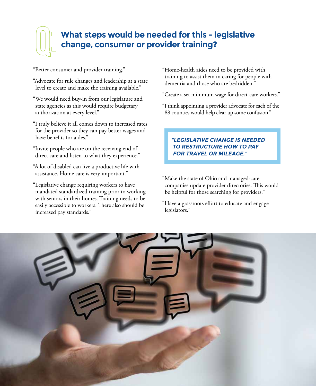## **What steps would be needed for this - legislative change, consumer or provider training?**

"Better consumer and provider training."

- "Advocate for rule changes and leadership at a state level to create and make the training available."
- "We would need buy-in from our legislature and state agencies as this would require budgetary authorization at every level."
- "I truly believe it all comes down to increased rates for the provider so they can pay better wages and have benefits for aides."
- "Invite people who are on the receiving end of direct care and listen to what they experience."
- "A lot of disabled can live a productive life with assistance. Home care is very important."
- "Legislative change requiring workers to have mandated standardized training prior to working with seniors in their homes. Training needs to be easily accessible to workers. There also should be increased pay standards."

"Home-health aides need to be provided with training to assist them in caring for people with dementia and those who are bedridden."

"Create a set minimum wage for direct-care workers."

"I think appointing a provider advocate for each of the 88 counties would help clear up some confusion."

#### **"LEGISLATIVE CHANGE IS NEEDED TO RESTRUCTURE HOW TO PAY FOR TRAVEL OR MILEAGE."**

- "Make the state of Ohio and managed-care companies update provider directories. This would be helpful for those searching for providers."
- "Have a grassroots effort to educate and engage legislators."

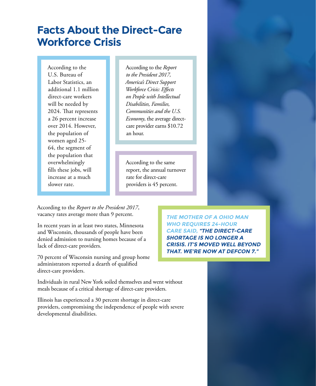## **Facts About the Direct-Care Workforce Crisis**

According to the U.S. Bureau of Labor Statistics, an additional 1.1 million direct-care workers will be needed by 2024. That represents a 26 percent increase over 2014. However, the population of women aged 25- 64, the segment of the population that overwhelmingly fills these jobs, will increase at a much slower rate.

According to the *Report to the President 2017, America's Direct Support Workforce Crisis: Effects on People with Intellectual Disabilities, Families, Communities and the U.S. Economy*, the average directcare provider earns \$10.72 an hour.

According to the same report, the annual turnover rate for direct-care providers is 45 percent.

According to the *Report to the President 2017*, vacancy rates average more than 9 percent.

In recent years in at least two states, Minnesota and Wisconsin, thousands of people have been denied admission to nursing homes because of a lack of direct-care providers.

70 percent of Wisconsin nursing and group home administrators reported a dearth of qualified direct-care providers.

Individuals in rural New York soiled themselves and went without meals because of a critical shortage of direct-care providers.

Illinois has experienced a 30 percent shortage in direct-care providers, compromising the independence of people with severe developmental disabilities.

**THE MOTHER OF A OHIO MAN WHO REQUIRES 24-HOUR CARE SAID, "THE DIRECT-CARE SHORTAGE IS NO LONGER A CRISIS. IT'S MOVED WELL BEYOND THAT. WE'RE NOW AT DEFCON 7."**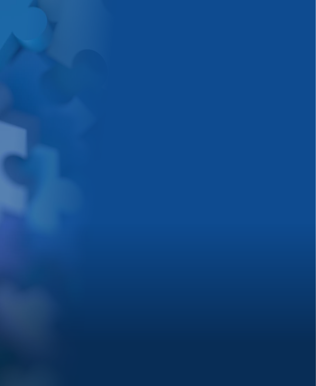